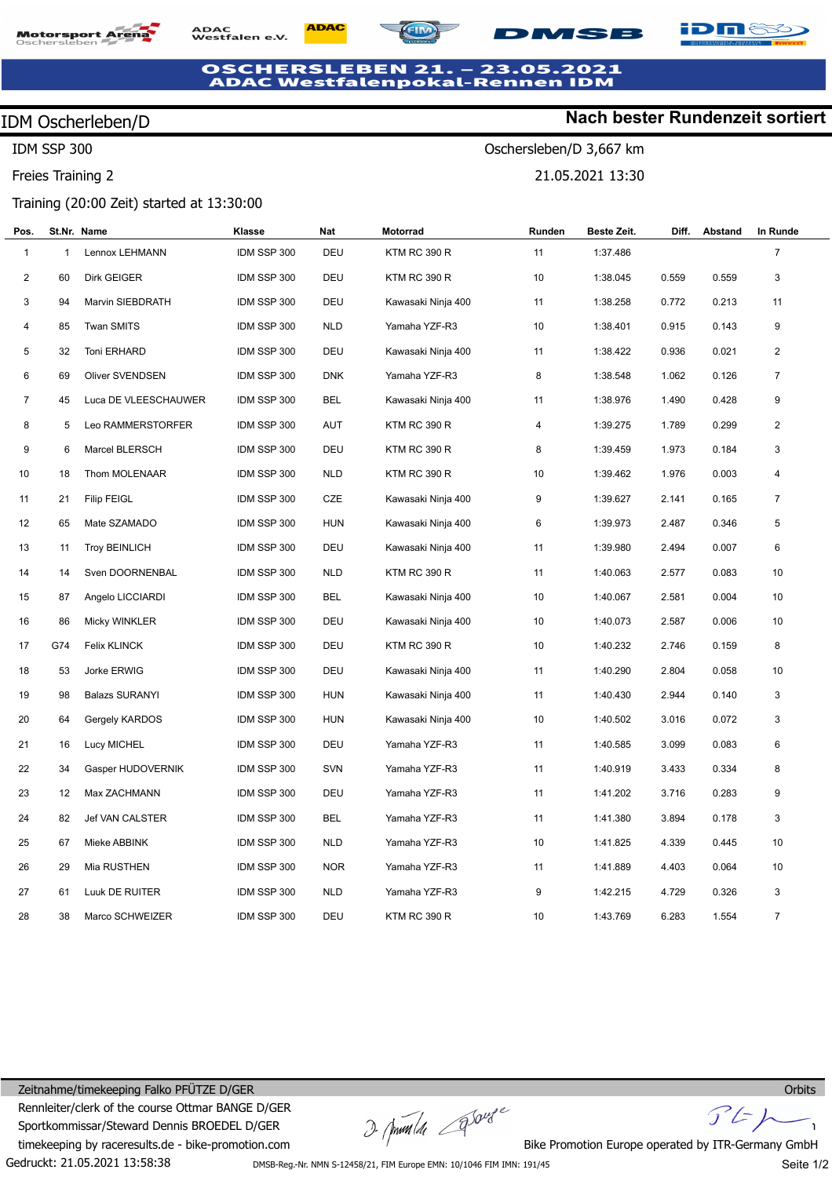# **Motorsport Ar**

**ADAC** ADAC<br>Westfalen e.V.



## **1SB**

Oschersleben/D 3,667 km

21.05.2021 13:30

#### OSCHERSLEBEN 21. - 23.05.2021<br>ADAC Westfalenpokal-Rennen IDM  $-23.05.2021$

## IDM Oscherleben/D

IDM SSP 300

Freies Training 2

### Training (20:00 Zeit) started at 13:30:00

| Pos.           |              | St.Nr. Name           | Klasse      | Nat        | Motorrad            | Runden | Beste Zeit. | Diff. | Abstand | In Runde       |  |
|----------------|--------------|-----------------------|-------------|------------|---------------------|--------|-------------|-------|---------|----------------|--|
| $\mathbf{1}$   | $\mathbf{1}$ | Lennox LEHMANN        | IDM SSP 300 | DEU        | <b>KTM RC 390 R</b> | 11     | 1:37.486    |       |         | $\overline{7}$ |  |
| $\overline{2}$ | 60           | Dirk GEIGER           | IDM SSP 300 | DEU        | KTM RC 390 R        | 10     | 1:38.045    | 0.559 | 0.559   | 3              |  |
| 3              | 94           | Marvin SIEBDRATH      | IDM SSP 300 | DEU        | Kawasaki Ninja 400  | 11     | 1:38.258    | 0.772 | 0.213   | 11             |  |
| 4              | 85           | <b>Twan SMITS</b>     | IDM SSP 300 | <b>NLD</b> | Yamaha YZF-R3       | 10     | 1:38.401    | 0.915 | 0.143   | 9              |  |
| 5              | 32           | Toni ERHARD           | IDM SSP 300 | DEU        | Kawasaki Ninja 400  | 11     | 1:38.422    | 0.936 | 0.021   | $\overline{2}$ |  |
| 6              | 69           | Oliver SVENDSEN       | IDM SSP 300 | <b>DNK</b> | Yamaha YZF-R3       | 8      | 1:38.548    | 1.062 | 0.126   | $\overline{7}$ |  |
| $\overline{7}$ | 45           | Luca DE VLEESCHAUWER  | IDM SSP 300 | <b>BEL</b> | Kawasaki Ninja 400  | 11     | 1:38.976    | 1.490 | 0.428   | 9              |  |
| 8              | 5            | Leo RAMMERSTORFER     | IDM SSP 300 | <b>AUT</b> | KTM RC 390 R        | 4      | 1:39.275    | 1.789 | 0.299   | $\overline{2}$ |  |
| 9              | 6            | Marcel BLERSCH        | IDM SSP 300 | DEU        | <b>KTM RC 390 R</b> | 8      | 1:39.459    | 1.973 | 0.184   | 3              |  |
| 10             | 18           | Thom MOLENAAR         | IDM SSP 300 | <b>NLD</b> | KTM RC 390 R        | 10     | 1:39.462    | 1.976 | 0.003   | 4              |  |
| 11             | 21           | <b>Filip FEIGL</b>    | IDM SSP 300 | CZE        | Kawasaki Ninja 400  | 9      | 1:39.627    | 2.141 | 0.165   | $\overline{7}$ |  |
| 12             | 65           | Mate SZAMADO          | IDM SSP 300 | <b>HUN</b> | Kawasaki Ninja 400  | 6      | 1:39.973    | 2.487 | 0.346   | 5              |  |
| 13             | 11           | <b>Troy BEINLICH</b>  | IDM SSP 300 | DEU        | Kawasaki Ninja 400  | 11     | 1:39.980    | 2.494 | 0.007   | 6              |  |
| 14             | 14           | Sven DOORNENBAL       | IDM SSP 300 | <b>NLD</b> | KTM RC 390 R        | 11     | 1:40.063    | 2.577 | 0.083   | 10             |  |
| 15             | 87           | Angelo LICCIARDI      | IDM SSP 300 | <b>BEL</b> | Kawasaki Ninja 400  | 10     | 1:40.067    | 2.581 | 0.004   | 10             |  |
| 16             | 86           | Micky WINKLER         | IDM SSP 300 | DEU        | Kawasaki Ninja 400  | 10     | 1:40.073    | 2.587 | 0.006   | 10             |  |
| 17             | G74          | Felix KLINCK          | IDM SSP 300 | DEU        | KTM RC 390 R        | 10     | 1:40.232    | 2.746 | 0.159   | 8              |  |
| 18             | 53           | Jorke ERWIG           | IDM SSP 300 | DEU        | Kawasaki Ninja 400  | 11     | 1:40.290    | 2.804 | 0.058   | 10             |  |
| 19             | 98           | <b>Balazs SURANYI</b> | IDM SSP 300 | <b>HUN</b> | Kawasaki Ninja 400  | 11     | 1:40.430    | 2.944 | 0.140   | 3              |  |
| 20             | 64           | Gergely KARDOS        | IDM SSP 300 | HUN        | Kawasaki Ninja 400  | 10     | 1:40.502    | 3.016 | 0.072   | 3              |  |
| 21             | 16           | <b>Lucy MICHEL</b>    | IDM SSP 300 | DEU        | Yamaha YZF-R3       | 11     | 1:40.585    | 3.099 | 0.083   | 6              |  |
| 22             | 34           | Gasper HUDOVERNIK     | IDM SSP 300 | <b>SVN</b> | Yamaha YZF-R3       | 11     | 1:40.919    | 3.433 | 0.334   | 8              |  |
| 23             | 12           | Max ZACHMANN          | IDM SSP 300 | DEU        | Yamaha YZF-R3       | 11     | 1:41.202    | 3.716 | 0.283   | 9              |  |
| 24             | 82           | Jef VAN CALSTER       | IDM SSP 300 | <b>BEL</b> | Yamaha YZF-R3       | 11     | 1:41.380    | 3.894 | 0.178   | 3              |  |
| 25             | 67           | Mieke ABBINK          | IDM SSP 300 | <b>NLD</b> | Yamaha YZF-R3       | 10     | 1:41.825    | 4.339 | 0.445   | 10             |  |
| 26             | 29           | Mia RUSTHEN           | IDM SSP 300 | <b>NOR</b> | Yamaha YZF-R3       | 11     | 1:41.889    | 4.403 | 0.064   | 10             |  |
| 27             | 61           | Luuk DE RUITER        | IDM SSP 300 | <b>NLD</b> | Yamaha YZF-R3       | 9      | 1:42.215    | 4.729 | 0.326   | 3              |  |
| 28             | 38           | Marco SCHWEIZER       | IDM SSP 300 | <b>DEU</b> | KTM RC 390 R        | 10     | 1:43.769    | 6.283 | 1.554   | $\overline{7}$ |  |

### Gedruckt: 21.05.2021 13:58:38 Zeitnahme/timekeeping Falko PFÜTZE D/GER Rennleiter/clerk of the course Ottmar BANGE D/GER Sportkommissar/Steward Dennis BROEDEL D/GER timekeeping by raceresults.de - bike-promotion.com

 $\frac{1}{2\sqrt{m}}$  and  $\frac{1}{2\sqrt{m}}$  Bike Promotion Europe operated by ITR-Germany GmbH

 $F$ 

DMSB-Reg.-Nr. NMN S-12458/21, FIM Europe EMN: 10/1046 FIM IMN: 191/45

Seite 1/2

**Orbits** 

iDné

# **Nach bester Rundenzeit sortiert**